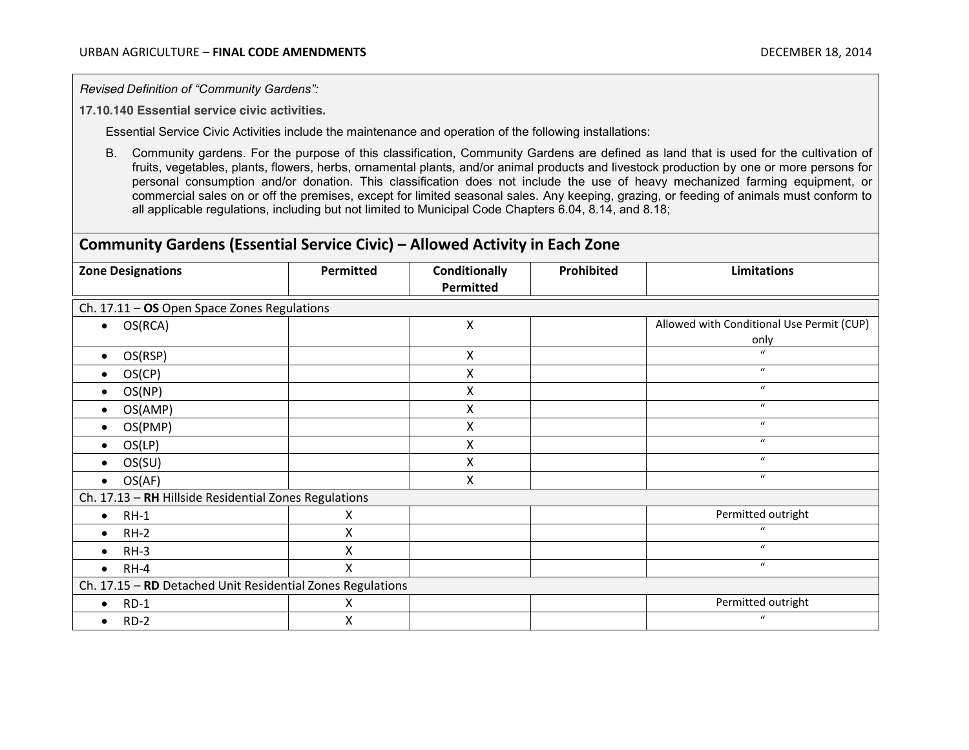*Revised Definition of "Community Gardens":*

**17.10.140 Essential service civic activities.**

Essential Service Civic Activities include the maintenance and operation of the following installations:

B. Community gardens. For the purpose of this classification, Community Gardens are defined as land that is used for the cultivation of fruits, vegetables, plants, flowers, herbs, ornamental plants, and/or animal products and livestock production by one or more persons for personal consumption and/or donation. This classification does not include the use of heavy mechanized farming equipment, or commercial sales on or off the premises, except for limited seasonal sales. Any keeping, grazing, or feeding of animals must conform to all applicable regulations, including but not limited to Municipal Code Chapters 6.04, 8.14, and 8.18;

## **Community Gardens (Essential Service Civic) – Allowed Activity in Each Zone**

| <b>Zone Designations</b>                                   | <b>Permitted</b> | <b>Conditionally</b> | <b>Prohibited</b> | <b>Limitations</b>                        |  |
|------------------------------------------------------------|------------------|----------------------|-------------------|-------------------------------------------|--|
|                                                            |                  | Permitted            |                   |                                           |  |
| Ch. 17.11 - OS Open Space Zones Regulations                |                  |                      |                   |                                           |  |
| OS(RCA)<br>$\bullet$                                       |                  | X                    |                   | Allowed with Conditional Use Permit (CUP) |  |
|                                                            |                  |                      |                   | only                                      |  |
| OS(RSP)<br>$\bullet$                                       |                  | $\mathsf{X}$         |                   | $\mathbf{u}$                              |  |
| OS(CP)<br>$\bullet$                                        |                  | Χ                    |                   | $\boldsymbol{u}$                          |  |
| OS(NP)<br>$\bullet$                                        |                  | Χ                    |                   | $\boldsymbol{u}$                          |  |
| OS(AMP)<br>$\bullet$                                       |                  | Χ                    |                   | $\boldsymbol{u}$                          |  |
| OS(PMP)                                                    |                  | Χ                    |                   | $\boldsymbol{u}$                          |  |
| OS(LP)<br>$\bullet$                                        |                  | Χ                    |                   | $\bf{u}$                                  |  |
| OS(SU)                                                     |                  | Χ                    |                   | $\mathbf{u}$                              |  |
| OS(AF)<br>$\bullet$                                        |                  | Χ                    |                   | $\boldsymbol{u}$                          |  |
| Ch. 17.13 - RH Hillside Residential Zones Regulations      |                  |                      |                   |                                           |  |
| $RH-1$<br>$\bullet$                                        | х                |                      |                   | Permitted outright                        |  |
| $RH-2$<br>$\bullet$                                        | X                |                      |                   | $\mathbf{u}$                              |  |
| $RH-3$<br>$\bullet$                                        | Χ                |                      |                   | $\mathbf{u}$                              |  |
| $RH-4$<br>$\bullet$                                        | X                |                      |                   | $\boldsymbol{u}$                          |  |
| Ch. 17.15 - RD Detached Unit Residential Zones Regulations |                  |                      |                   |                                           |  |
| $RD-1$<br>$\bullet$                                        | x                |                      |                   | Permitted outright                        |  |
| $RD-2$                                                     | X                |                      |                   | $\boldsymbol{u}$                          |  |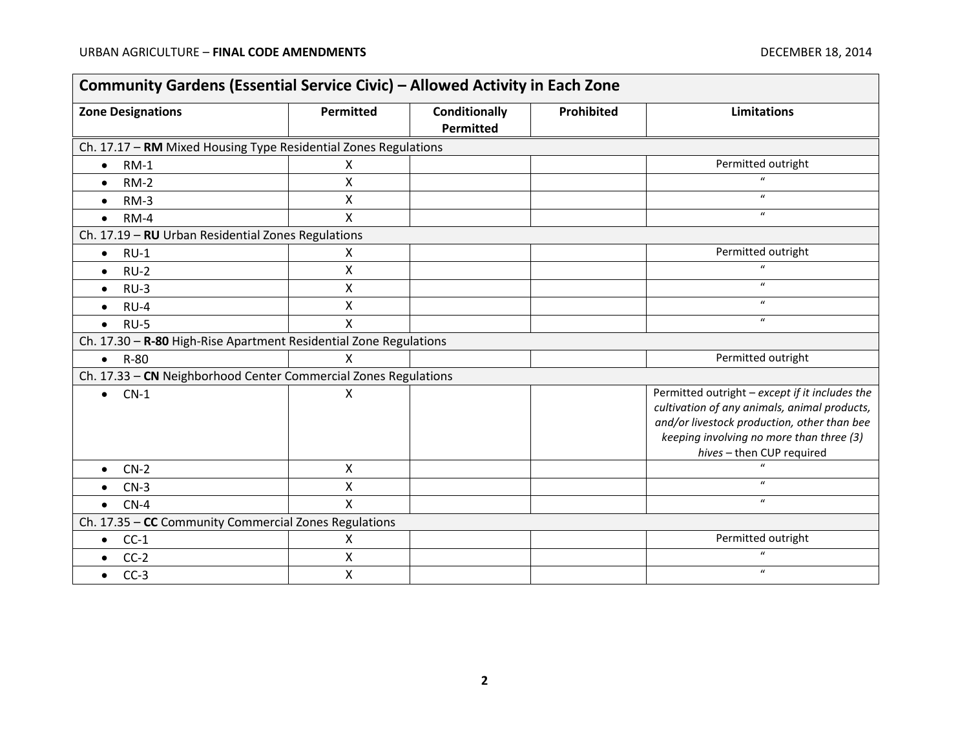÷.

| <b>Zone Designations</b>                                          | Permitted    | <b>Conditionally</b><br>Permitted | Prohibited | <b>Limitations</b>                                                                                                                                                                                                     |
|-------------------------------------------------------------------|--------------|-----------------------------------|------------|------------------------------------------------------------------------------------------------------------------------------------------------------------------------------------------------------------------------|
| Ch. 17.17 - RM Mixed Housing Type Residential Zones Regulations   |              |                                   |            |                                                                                                                                                                                                                        |
| $RM-1$<br>$\bullet$                                               | X            |                                   |            | Permitted outright                                                                                                                                                                                                     |
| $RM-2$<br>$\bullet$                                               | X            |                                   |            | $\mathbf{u}$                                                                                                                                                                                                           |
| $RM-3$<br>$\bullet$                                               | X            |                                   |            | $\boldsymbol{u}$                                                                                                                                                                                                       |
| $RM-4$<br>$\bullet$                                               | X            |                                   |            | $\boldsymbol{u}$                                                                                                                                                                                                       |
| Ch. 17.19 - RU Urban Residential Zones Regulations                |              |                                   |            |                                                                                                                                                                                                                        |
| $RU-1$<br>$\bullet$                                               | X            |                                   |            | Permitted outright                                                                                                                                                                                                     |
| $RU-2$<br>$\bullet$                                               | X            |                                   |            | $\boldsymbol{u}$                                                                                                                                                                                                       |
| $RU-3$<br>$\bullet$                                               | X            |                                   |            | $\boldsymbol{u}$                                                                                                                                                                                                       |
| $RU-4$<br>$\bullet$                                               | X            |                                   |            | $\boldsymbol{u}$                                                                                                                                                                                                       |
| $RU-5$<br>$\bullet$                                               | X            |                                   |            | $\boldsymbol{u}$                                                                                                                                                                                                       |
| Ch. 17.30 - R-80 High-Rise Apartment Residential Zone Regulations |              |                                   |            |                                                                                                                                                                                                                        |
| R-80<br>$\bullet$                                                 | X            |                                   |            | Permitted outright                                                                                                                                                                                                     |
| Ch. 17.33 - CN Neighborhood Center Commercial Zones Regulations   |              |                                   |            |                                                                                                                                                                                                                        |
| $CN-1$<br>$\bullet$                                               | Χ            |                                   |            | Permitted outright - except if it includes the<br>cultivation of any animals, animal products,<br>and/or livestock production, other than bee<br>keeping involving no more than three (3)<br>hives - then CUP required |
| $CN-2$                                                            | X            |                                   |            |                                                                                                                                                                                                                        |
| $CN-3$<br>$\bullet$                                               | X            |                                   |            | $\boldsymbol{u}$                                                                                                                                                                                                       |
| $CN-4$<br>$\bullet$                                               | $\mathsf{x}$ |                                   |            | $\mathbf{u}$                                                                                                                                                                                                           |
| Ch. 17.35 - CC Community Commercial Zones Regulations             |              |                                   |            |                                                                                                                                                                                                                        |
| $CC-1$<br>$\bullet$                                               | X            |                                   |            | Permitted outright                                                                                                                                                                                                     |
| $CC-2$                                                            | X            |                                   |            | $\boldsymbol{u}$                                                                                                                                                                                                       |
| $CC-3$<br>$\bullet$                                               | X            |                                   |            | $\boldsymbol{u}$                                                                                                                                                                                                       |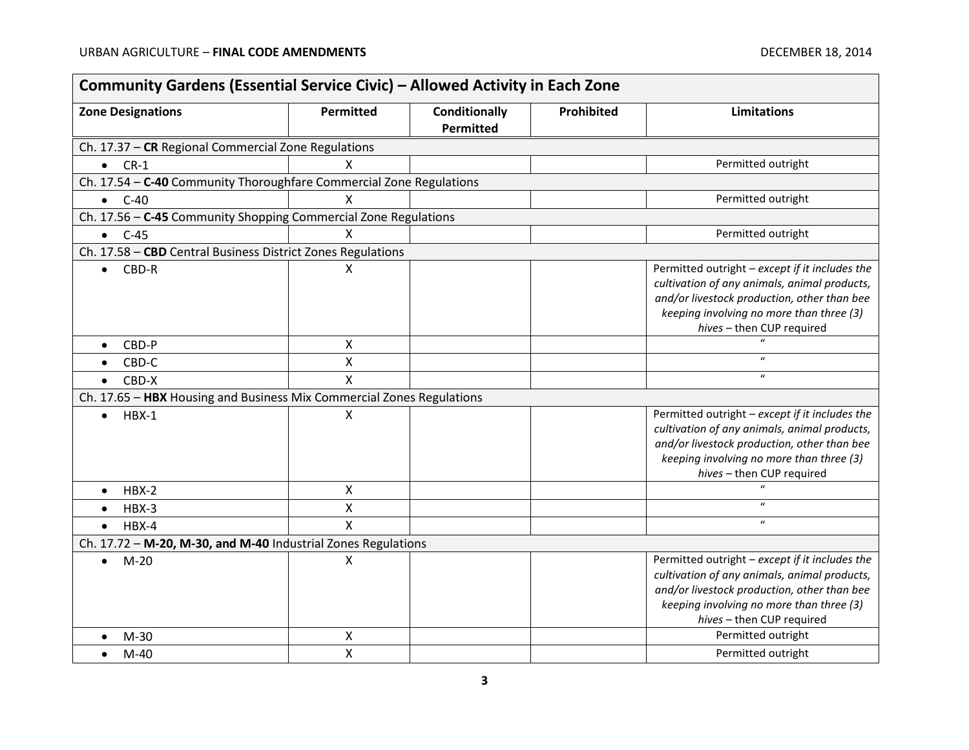F

| <b>Zone Designations</b>                                              | Permitted               | <b>Conditionally</b> | Prohibited | <b>Limitations</b>                                                    |
|-----------------------------------------------------------------------|-------------------------|----------------------|------------|-----------------------------------------------------------------------|
|                                                                       |                         | <b>Permitted</b>     |            |                                                                       |
| Ch. 17.37 - CR Regional Commercial Zone Regulations                   |                         |                      |            |                                                                       |
| $\bullet$ CR-1                                                        | X                       |                      |            | Permitted outright                                                    |
| Ch. 17.54 - C-40 Community Thoroughfare Commercial Zone Regulations   |                         |                      |            |                                                                       |
| $C-40$<br>$\bullet$                                                   | X                       |                      |            | Permitted outright                                                    |
| Ch. 17.56 - C-45 Community Shopping Commercial Zone Regulations       |                         |                      |            |                                                                       |
| $\bullet$ C-45                                                        | $\mathsf{X}$            |                      |            | Permitted outright                                                    |
| Ch. 17.58 - CBD Central Business District Zones Regulations           |                         |                      |            |                                                                       |
| CBD-R<br>$\bullet$                                                    | X                       |                      |            | Permitted outright - except if it includes the                        |
|                                                                       |                         |                      |            | cultivation of any animals, animal products,                          |
|                                                                       |                         |                      |            | and/or livestock production, other than bee                           |
|                                                                       |                         |                      |            | keeping involving no more than three (3)<br>hives - then CUP required |
| CBD-P                                                                 | X                       |                      |            |                                                                       |
| CBD-C<br>$\bullet$                                                    | $\pmb{\times}$          |                      |            | $\boldsymbol{\mathcal{U}}$                                            |
| CBD-X<br>$\bullet$                                                    | $\overline{\mathsf{X}}$ |                      |            | $\boldsymbol{\mathcal{U}}$                                            |
| Ch. 17.65 - HBX Housing and Business Mix Commercial Zones Regulations |                         |                      |            |                                                                       |
| $HBX-1$                                                               | X                       |                      |            | Permitted outright - except if it includes the                        |
| $\bullet$                                                             |                         |                      |            | cultivation of any animals, animal products,                          |
|                                                                       |                         |                      |            | and/or livestock production, other than bee                           |
|                                                                       |                         |                      |            | keeping involving no more than three (3)                              |
|                                                                       |                         |                      |            | hives - then CUP required                                             |
| $HBX-2$<br>$\bullet$                                                  | X                       |                      |            |                                                                       |
| HBX-3                                                                 | $\pmb{\mathsf{X}}$      |                      |            | $\boldsymbol{u}$                                                      |
| $HBX-4$<br>$\bullet$                                                  | X                       |                      |            | $\boldsymbol{u}$                                                      |
| Ch. 17.72 - M-20, M-30, and M-40 Industrial Zones Regulations         |                         |                      |            |                                                                       |
| $M-20$<br>$\bullet$                                                   | X                       |                      |            | Permitted outright - except if it includes the                        |
|                                                                       |                         |                      |            | cultivation of any animals, animal products,                          |
|                                                                       |                         |                      |            | and/or livestock production, other than bee                           |
|                                                                       |                         |                      |            | keeping involving no more than three (3)                              |
|                                                                       |                         |                      |            | hives - then CUP required                                             |
| $M-30$                                                                | X                       |                      |            | Permitted outright                                                    |
| $M-40$                                                                | $\mathsf{x}$            |                      |            | Permitted outright                                                    |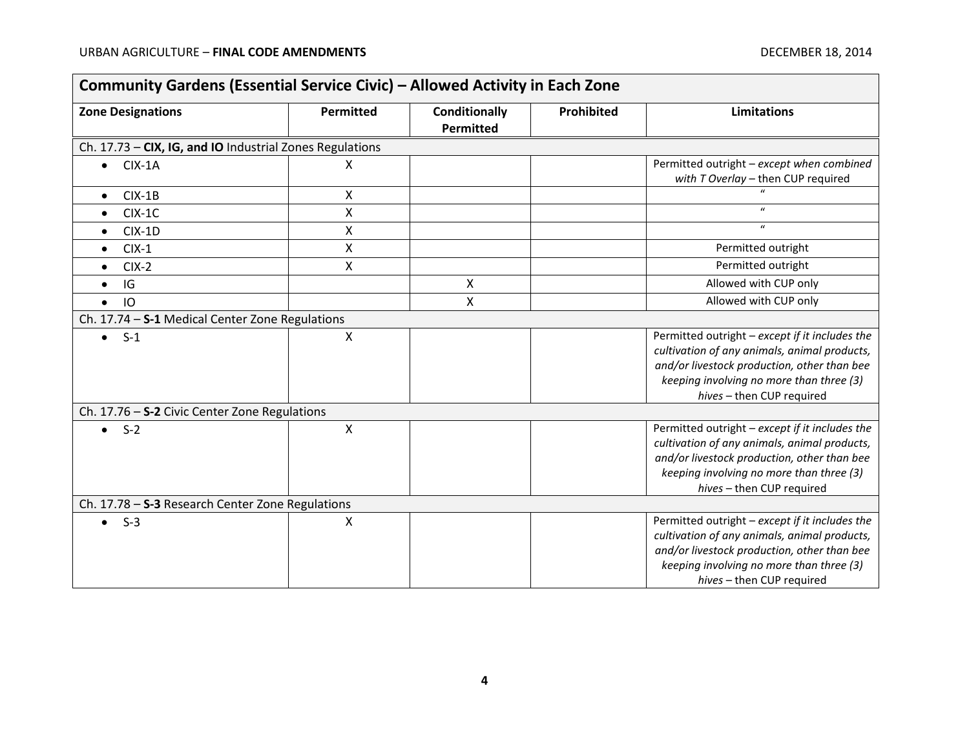| <b>Zone Designations</b>                                 | Permitted          | <b>Conditionally</b> | Prohibited | <b>Limitations</b>                             |
|----------------------------------------------------------|--------------------|----------------------|------------|------------------------------------------------|
|                                                          |                    | Permitted            |            |                                                |
| Ch. 17.73 - CIX, IG, and IO Industrial Zones Regulations |                    |                      |            |                                                |
| $CIX-1A$<br>$\bullet$                                    | X                  |                      |            | Permitted outright - except when combined      |
|                                                          |                    |                      |            | with T Overlay - then CUP required             |
| $CIX-1B$<br>$\bullet$                                    | X                  |                      |            |                                                |
| $CIX-1C$<br>$\bullet$                                    | $\pmb{\mathsf{X}}$ |                      |            | $\boldsymbol{u}$                               |
| $CIX-1D$<br>$\bullet$                                    | $\pmb{\mathsf{X}}$ |                      |            | $\mathbf{u}$                                   |
| $CIX-1$<br>$\bullet$                                     | X                  |                      |            | Permitted outright                             |
| $CIX-2$<br>$\bullet$                                     | X                  |                      |            | Permitted outright                             |
| IG<br>$\bullet$                                          |                    | Χ                    |            | Allowed with CUP only                          |
| IO<br>$\bullet$                                          |                    | X                    |            | Allowed with CUP only                          |
| Ch. 17.74 - S-1 Medical Center Zone Regulations          |                    |                      |            |                                                |
| $S-1$<br>$\bullet$                                       | X                  |                      |            | Permitted outright - except if it includes the |
|                                                          |                    |                      |            | cultivation of any animals, animal products,   |
|                                                          |                    |                      |            | and/or livestock production, other than bee    |
|                                                          |                    |                      |            | keeping involving no more than three (3)       |
|                                                          |                    |                      |            | hives - then CUP required                      |
| Ch. 17.76 - S-2 Civic Center Zone Regulations            |                    |                      |            |                                                |
| $\bullet$ S-2                                            | X                  |                      |            | Permitted outright - except if it includes the |
|                                                          |                    |                      |            | cultivation of any animals, animal products,   |
|                                                          |                    |                      |            | and/or livestock production, other than bee    |
|                                                          |                    |                      |            | keeping involving no more than three (3)       |
|                                                          |                    |                      |            | hives - then CUP required                      |
| Ch. 17.78 - S-3 Research Center Zone Regulations         |                    |                      |            |                                                |
| $S-3$<br>$\bullet$                                       | X                  |                      |            | Permitted outright - except if it includes the |
|                                                          |                    |                      |            | cultivation of any animals, animal products,   |
|                                                          |                    |                      |            | and/or livestock production, other than bee    |
|                                                          |                    |                      |            | keeping involving no more than three (3)       |
|                                                          |                    |                      |            | hives - then CUP required                      |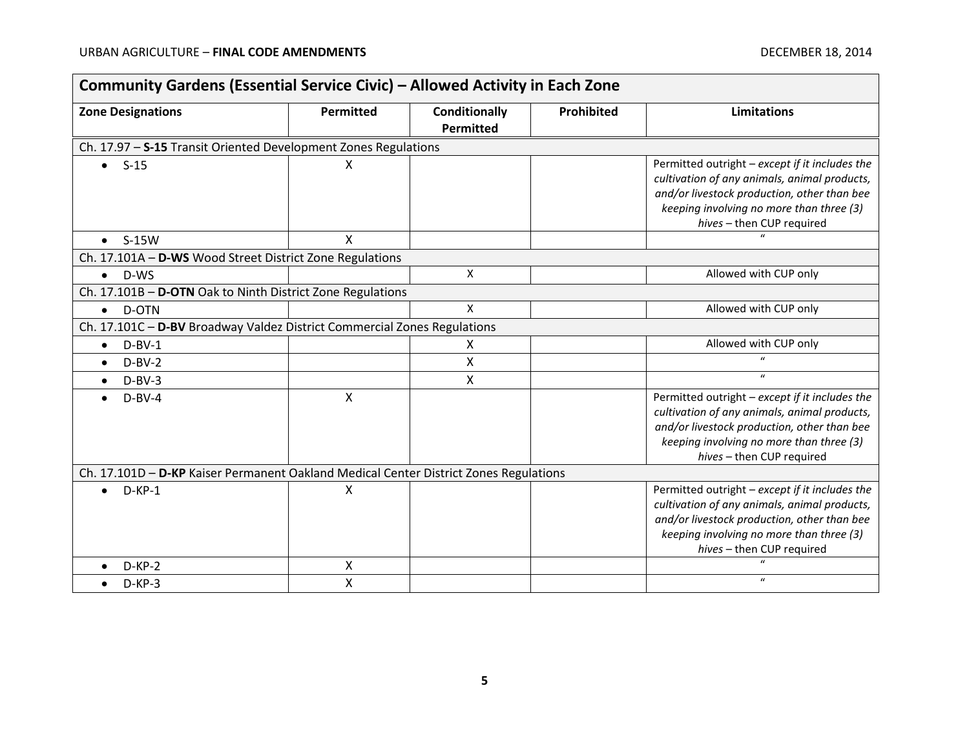| Community Gardens (Essential Service Civic) - Allowed Activity in Each Zone           |                  |                                   |            |                                                                                                                                                                                                                        |
|---------------------------------------------------------------------------------------|------------------|-----------------------------------|------------|------------------------------------------------------------------------------------------------------------------------------------------------------------------------------------------------------------------------|
| <b>Zone Designations</b>                                                              | <b>Permitted</b> | <b>Conditionally</b><br>Permitted | Prohibited | <b>Limitations</b>                                                                                                                                                                                                     |
| Ch. 17.97 - S-15 Transit Oriented Development Zones Regulations                       |                  |                                   |            |                                                                                                                                                                                                                        |
| $S-15$<br>$\bullet$                                                                   | X                |                                   |            | Permitted outright - except if it includes the<br>cultivation of any animals, animal products,<br>and/or livestock production, other than bee<br>keeping involving no more than three (3)<br>hives - then CUP required |
| $S-15W$<br>$\bullet$                                                                  | X                |                                   |            |                                                                                                                                                                                                                        |
| Ch. 17.101A - D-WS Wood Street District Zone Regulations                              |                  |                                   |            |                                                                                                                                                                                                                        |
| $\bullet$ D-WS                                                                        |                  | X                                 |            | Allowed with CUP only                                                                                                                                                                                                  |
| Ch. 17.101B - D-OTN Oak to Ninth District Zone Regulations                            |                  |                                   |            |                                                                                                                                                                                                                        |
| D-OTN<br>$\bullet$                                                                    |                  | Χ                                 |            | Allowed with CUP only                                                                                                                                                                                                  |
| Ch. 17.101C - D-BV Broadway Valdez District Commercial Zones Regulations              |                  |                                   |            |                                                                                                                                                                                                                        |
| $D-BV-1$<br>$\bullet$                                                                 |                  | X                                 |            | Allowed with CUP only                                                                                                                                                                                                  |
| $D-BV-2$<br>$\bullet$                                                                 |                  | X                                 |            | $\mathbf{u}$                                                                                                                                                                                                           |
| $D-BV-3$<br>$\bullet$                                                                 |                  | X                                 |            | $\boldsymbol{u}$                                                                                                                                                                                                       |
| $D-BV-4$                                                                              | X                |                                   |            | Permitted outright - except if it includes the<br>cultivation of any animals, animal products,<br>and/or livestock production, other than bee<br>keeping involving no more than three (3)<br>hives - then CUP required |
| Ch. 17.101D - D-KP Kaiser Permanent Oakland Medical Center District Zones Regulations |                  |                                   |            |                                                                                                                                                                                                                        |
| $D-KP-1$<br>$\bullet$                                                                 | X                |                                   |            | Permitted outright - except if it includes the<br>cultivation of any animals, animal products,<br>and/or livestock production, other than bee<br>keeping involving no more than three (3)<br>hives - then CUP required |
| $D-KP-2$                                                                              | X                |                                   |            |                                                                                                                                                                                                                        |
| $D-KP-3$                                                                              | Χ                |                                   |            | $\boldsymbol{u}$                                                                                                                                                                                                       |